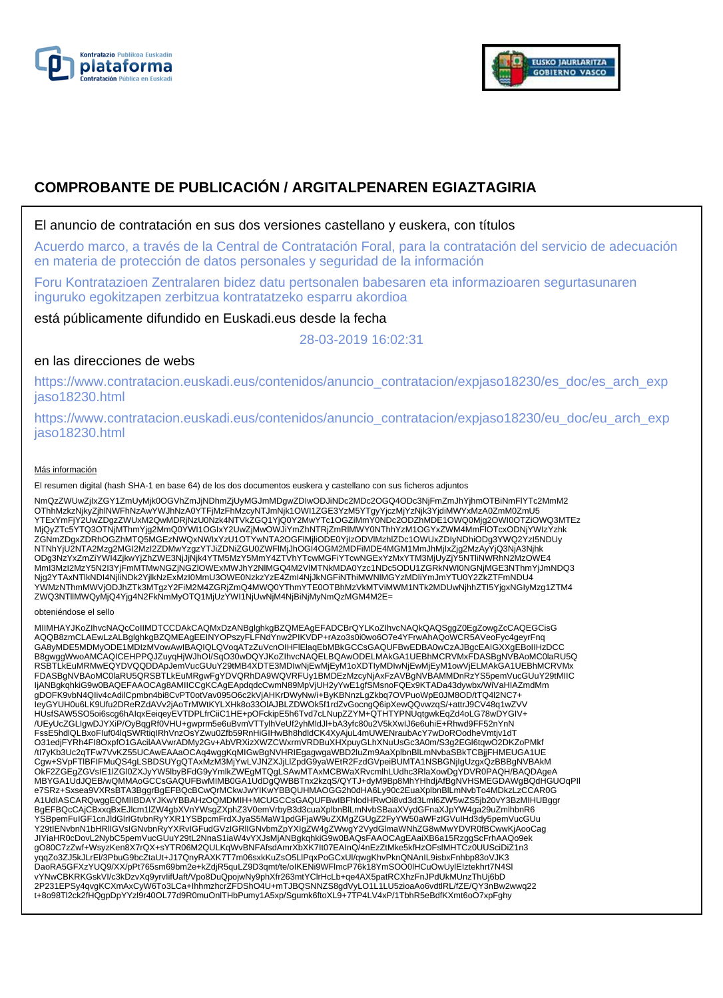



# **COMPROBANTE DE PUBLICACIÓN / ARGITALPENAREN EGIAZTAGIRIA**

### El anuncio de contratación en sus dos versiones castellano y euskera, con títulos

Acuerdo marco, a través de la Central de Contratación Foral, para la contratación del servicio de adecuación en materia de protección de datos personales y seguridad de la información

Foru Kontratazioen Zentralaren bidez datu pertsonalen babesaren eta informazioaren segurtasunaren inguruko egokitzapen zerbitzua kontratatzeko esparru akordioa

está públicamente difundido en Euskadi.eus desde la fecha

28-03-2019 16:02:31

## en las direcciones de webs

https://www.contratacion.euskadi.eus/contenidos/anuncio\_contratacion/expjaso18230/es\_doc/es\_arch\_exp jaso18230.html

https://www.contratacion.euskadi.eus/contenidos/anuncio\_contratacion/expjaso18230/eu\_doc/eu\_arch\_exp jaso18230.html

### Más información

El resumen digital (hash SHA-1 en base 64) de los dos documentos euskera y castellano con sus ficheros adjuntos

NmQzZWUwZjIxZGY1ZmUyMjk0OGVhZmJjNDhmZjUyMGJmMDgwZDIwODJiNDc2MDc2OGQ4ODc3NjFmZmJhYjhmOTBiNmFlYTc2MmM2 OThhMzkzNjkyZjhlNWFhNzAwYWJhNzA0YTFjMzFhMzcyNTJmNjk1OWI1ZGE3YzM5YTgyYjczMjYzNjk3YjdiMWYxMzA0ZmM0ZmU5 YTExYmFjY2UwZDgzZWUxM2QwMDRjNzU0Nzk4NTVkZGQ1YjQ0Y2MwYTc1OGZiMmY0NDc2ODZhMDE1OWQ0Mjg2OWI0OTZiOWQ3MTEz<br>MjQyZTc5YTQ3OTNjMThmYjg2MmQ0YWI1OGIxY2UwZjMwOWJiYmZhNTRjZmRlMWY0NThhYzM1OGYxZWM4MmFlOTcxODNjYWIzYzhk ZGNmZDgxZDRhOGZhMTQ5MGEzNWQxNWIxYzU1OTYwNTA2OGFlMjliODE0YjIzODVlMzhlZDc1OWUxZDIyNDhiODg3YWQ2YzI5NDUy NTNhYjU2NTA2Mzg2MGI2MzI2ZDMwYzgzYTJiZDNiZGU0ZWFlMjJhOGI4OGM2MDFiMDE4MGM1MmJhMjIxZjg2MzAyYjQ3NjA3Njhk ODg3NzYxZmZiYWI4ZjkwYjZhZWE3NjJjNjk4YTM5MzY5MmY4ZTVhYTcwMGFiYTcwNGExYzMxYTM3MjUyZjY5NTliNWRhN2MzOWE4 MmI3MzI2MzY5N2I3YjFmMTMwNGZjNGZlOWExMWJhY2NlMGQ4M2VlMTNkMDA0Yzc1NDc5ODU1ZGRkNWI0NGNjMGE3NThmYjJmNDQ3 Njg2YTAxNTlkNDI4NjliNDk2YjlkNzExMzI0MmU3OWE0NzkzYzE4ZmI4NjJkNGFiNThiMWNlMGYzMDliYmJmYTU0Y2ZkZTFmNDU4 YWMzNThmMWVjODJhZTk3MTgzY2FiM2M4ZGRjZmQ4MWQ0YThmYTE0OTBhMzVkMTViMWM1NTk2MDUwNjhhZTI5YjgxNGIyMzg1ZTM4 ZWQ3NTllMWQyMjQ4Yjg4N2FkNmMyOTQ1MjUzYWI1NjUwNjM4NjBiNjMyNmQzMGM4M2E=

#### obteniéndose el sello

MIIMHAYJKoZIhvcNAQcCoIIMDTCCDAkCAQMxDzANBglghkgBZQMEAgEFADCBrQYLKoZIhvcNAQkQAQSggZ0EgZowgZcCAQEGCisG<br>AQQB8zmCLAEwLzALBglghkgBZQMEAgEEINYOPszyFLFNdYnw2PIKVDP+rAzo3s0i0wo6O7e4YFrwAhAQoWCR5AVeoFyc4geyrFnq GA8yMDE5MDMyODE1MDIzMVowAwIBAQIQLQVoqATzZuVcnOIHFIElaqEbMBkGCCsGAQUFBwEDBA0wCzAJBgcEAIGXXgEBoIIHzDCC<br>B8gwggWwoAMCAQICEHPPQJZuyqHjWJhOI/SqO30wDQYJKoZIhvcNAQELBQAwODELMAkGA1UEBhMCRVMxFDASBgNVBAoMC0laRU5Q RSBTLkEuMRMwEQYDVQQDDApJemVucGUuY29tMB4XDTE3MDIwNjEwMjEyM1oXDTIyMDIwNjEwMjEyM1owVjELMAkGA1UEBhMCRVMx FDASBgNVBAoMC0laRU5QRSBTLkEuMRgwFgYDVQRhDA9WQVRFUy1BMDEzMzcyNjAxFzAVBgNVBAMMDnRzYS5pemVucGUuY29tMIIC IjANBgkqhkiG9w0BAQEFAAOCAg8AMIICCgKCAgEApdqdcCwmN89MpVjUH2yYwE1gfSMsnoFQEx9KTADa43dywbx/WiVaHIAZmdMm gDOFK9vbN4QIiv4cAdilCpmbn4bi8CvPT0otVav095O6c2kVjAHKrDWyNw/i+ByKBNnzLgZkbq7OVPuoWpE0JM8OD/tTQ4l2NC7+ IeyGYUH0u6LK9Ufu2DReRZdAVv2jAoTrMWtKYLXHk8o33OlAJBLZDWOk5f1rdZvGocngQ6ipXewQQvwzqS/+attrJ9CV48q1wZVV HUsfSAW5SO5oi6scg6hAlqxEeiqeyEVTDPLfrCiiC1HE+pOFckipE5h6Tvd7cLNupZZYM+QTHTYPNUqtgwkEqZd4oLG78wDYGIV+<br>/UEyUcZGLIgwDJYXiP/OyBqgRf0VHU+gwprm5e6uBvmVTTylhVeUf2yhMldJl+bA3yfc80u2V5kXwIJ6e6uhiE+Rhwd9FF52nYnN<br>FssE5hdlQLBxoFluf04l O31edjFYRh4FI8OxpfO1GAcilAAVwrADMy2Gv+AbVRXizXWZCWxrmVRDBuXHXpuyGLhXNuUsGc3A0m/S3g2EGl6tqwO2DKZoPMkf /tI7yKb3Uc2qTFw7VvKZ55UCAwEAAaOCAq4wggKqMIGwBgNVHRIEgagwgaWBD2luZm9AaXplbnBlLmNvbaSBkTCBjjFHMEUGA1UE Cgw+SVpFTlBFIFMuQS4gLSBDSUYgQTAxMzM3MjYwLVJNZXJjLlZpdG9yaWEtR2FzdGVpeiBUMTA1NSBGNjIgUzgxQzBBBgNVBAkM OkF2ZGEgZGVsIE1lZGl0ZXJyYW5lbyBFdG9yYmlkZWEgMTQgLSAwMTAxMCBWaXRvcmlhLUdhc3RlaXowDgYDVR0PAQH/BAQDAgeA MBYGA1UdJQEB/wQMMAoGCCsGAQUFBwMIMB0GA1UdDgQWBBTnx2kzqS/QYTJ+dyM9Bp8MhYHhdjAfBgNVHSMEGDAWgBQdHGUOqPIl e7SRz+Sxsea9VXRsBTA3BggrBgEFBQcBCwQrMCkwJwYIKwYBBQUHMAOGG2h0dHA6Ly90c2EuaXplbnBlLmNvbTo4MDkzLzCCAR0G A1UdIASCARQwggEQMIIBDAYJKwYBBAHzOQMDMIH+MCUGCCsGAQUFBwIBFhlodHRwOi8vd3d3Lml6ZW5wZS5jb20vY3BzMIHUBggr BgEFBQcCAjCBxxqBxEJlcm1lZW4gbXVnYWsgZXphZ3V0emVrbyB3d3cuaXplbnBlLmNvbSBaaXVydGFnaXJpYW4ga29uZmlhbnR6 YSBpemFuIGF1cnJldGlrIGtvbnRyYXR1YSBpcmFrdXJyaS5MaW1pdGFjaW9uZXMgZGUgZ2FyYW50aWFzIGVuIHd3dy5pemVucGUu Y29tIENvbnN1bHRlIGVsIGNvbnRyYXRvIGFudGVzIGRIIGNvbmZpYXIgZW4gZWwgY2VydGlmaWNhZG8wMwYDVR0fBCwwKjAooCag JIYiaHR0cDovL2NybC5pemVucGUuY29tL2NnaS1iaW4vYXJsMjANBgkqhkiG9w0BAQsFAAOCAgEAaiXB6a15RzggScFrhAAQo9ek gO80C7zZwf+WsyzKen8X7rQX+sYTR06M2QULKqWvBNFAfsdAmrXbXK7It07EAInQ/4nEzZtMke5kfHzOFslMHTCz0UUSciDiZ1n3 yqqZo3ZJ5kJLrEl/3PbuG9bcZtaUt+J17QnyRAXK7T7m06sxkKuZsO5LlPqxPoGCxUl/qwgKhvPknQNAnIL9isbxFnhbp83oVJK3<br>DaoRA5GFXzYUQ9/XX/pPt765sm69bm2e+kZdjR5quLZ9D3qmt/te/oIKENi9WFlmcP76k18YmSOO0lHCuOwUylEIztekhrt7N4Sl vYNwCBKRKGskVI/c3kDzvXq9yrvIifUaft/Vpo8DuQpojwNy9phXfr263mtYClrHcLb+qe4AX5patRCXhzFnJPdUkMUnzThUj6bD 2P231EPSy4qvgKCXmAxCyW6To3LCa+IhhmzhcrZFDShO4U+mTJBQSNNZS8gdVyLO1L1LU5zioaAo6vdtlRL/fZE/QY3nBw2wwq22 t+8o98Tl2ck2fHQgpDpYYzl9r40OL77d9R0muOnlTHbPumy1A5xp/Sgumk6ftoXL9+7TP4LV4xP/1TbhR5eBdfKXmt6oO7xpFghy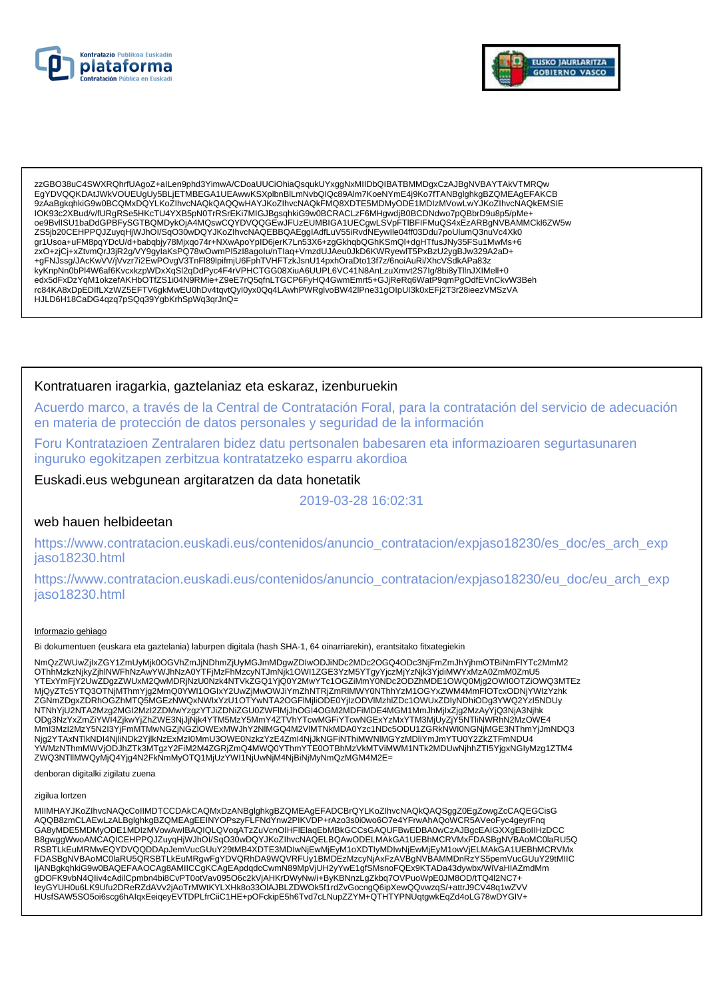



zzGBO38uC4SWXRQhrfUAgoZ+alLen9phd3YimwA/CDoaUUCiOhiaQsqukUYxggNxMIIDbQIBATBMMDgxCzAJBgNVBAYTAkVTMRQw<br>EgYDVQQKDAtJWkVOUEUgUy5BLjETMBEGA1UEAwwKSXplbnBlLmNvbQIQc89Alm7KoeNYmE4j9Ko7fTANBglghkgBZQMEAgEFAKCB 9zAaBgkqhkiG9w0BCQMxDQYLKoZlhvcNAQkQAQQwHAYJKoZlhvcNAQkFMQ8XDTE5MDMyODE1MDlzMVowLwYJKoZlhvcNAQkEMSIE IOK93c2XBud/v/fURgRSe5HKcTU4YXB5pN0TrRSrEKi7MIGJBgsqhkiG9w0BCRACLzF6MHgwdjB0BCDNdwo7pQBbrD9u8p5/pMe+ oe9BvllSU1baDdGPBFySGTBQMDykOjA4MQswCQYDVQQGEwJFUzEUMBIGA1UECgwLSVpFTIBFIFMuQS4xEzARBgNVBAMMCkl6ZW5w ZS5jb20CEHPPQJZuyqHjWJhOl/SqO30wDQYJKoZIhvcNAQEBBQAEgglAdfLuV55iRvdNEywlle04ff03Ddu7poUlumQ3nuVc4Xk0 gr1Usoa+uFM8pqYDcU/d+babqbjy78Mjxqo74r+NXwApoYpID6jerK7Ln53X6+zgGkhqbQGhKSmQl+dgHTfusJNy35FSu1MwMs+6 zxO+zjCj+xZtvmQrJ3jR2g/VY9gyIaKsPQ78wOwmPl5zl8agolu/nTlaq+VmzdUJAeu0JkD6KWRyewlT5PxBzU2ygBJw329A2aD+ ENGENSIONAL AND TREATH AND THE SUBJECT OF THE SUBJECT OF THE SUBJECT OF THE SUBJECT OF THE SUBJECT OF THE SUBJECT OF THE SUBJECT OF THE SUBJECT OF THE SUBJECT OF THE SUBJECT OF THE SUBJECT OF THE SUBJECT OF THE SUBJECT OF edx5dFxDzYqM1okzefAKHbOTfZS1i04N9RMie+Z9eE7rQ5qfnLTGCP6FyHQ4GwmEmrt5+GJjReRq6WatP9qmPgOdfEVnCkvW3Beh rc84KA8xDpEDIfLXzWZ5EFTV6gkMwEU0hDv4tqvtQyl0yx0Qq4LAwhPWRglvoBW42lPne31gOlpUl3k0xEFj2T3r28ieezVMSzVA HJLD6H18CaDG4qzq7pSQq39YgbKrhSpWq3qrJnQ=

### Kontratuaren iragarkia, gaztelaniaz eta eskaraz, izenburuekin

Acuerdo marco, a través de la Central de Contratación Foral, para la contratación del servicio de adecuación en materia de protección de datos personales y seguridad de la información

Foru Kontratazioen Zentralaren bidez datu pertsonalen babesaren eta informazioaren segurtasunaren inguruko egokitzapen zerbitzua kontratatzeko esparru akordioa

Euskadi.eus webgunean argitaratzen da data honetatik

2019-03-28 16:02:31

## web hauen helbideetan

https://www.contratacion.euskadi.eus/contenidos/anuncio\_contratacion/expjaso18230/es\_doc/es\_arch\_exp jaso18230.html

https://www.contratacion.euskadi.eus/contenidos/anuncio contratacion/expjaso18230/eu doc/eu arch exp jaso18230.html

#### Informazio gehiago

Bi dokumentuen (euskara eta gaztelania) laburpen digitala (hash SHA-1, 64 oinarriarekin), erantsitako fitxategiekin

NmQzZWUwZjIxZGY1ZmUyMjk0OGVhZmJjNDhmZjUyMGJmMDgwZDIwODJiNDc2MDc2OGQ4ODc3NjFmZmJhYjhmOTBiNmFlYTc2MmM2 OThhMzkzNjkyZjhlNWFhNzAwYWJhNzA0YTFjMzFhMzcyNTJmNjk1OWI1ZGE3YzM5YTgyYjczMjYzNjk3YjdiMWYxMzA0ZmM0ZmU5 YTExYmFjY2UwZDgzZWUxM2QwMDRjNzU0Nzk4NTVkZGQ1YjQ0Y2MwYTc1OGZiMmY0NDc2ODZńMDE1OWQ0Mjg2OWI0OTZiOWQ3MTEz MjQyZTc5YTQ3OTNjMThmYjg2MmQ0YWI1OGIxY2UwZjMwOWJiYmZhNTRjZmRIMWY0NThhYzM1OGYxZWM4MmFIOTcxODNjYWIzYzhk ZGNmZDgxZDRhOGZhMTQ5MGEzNWQxNWIxYzU1OTYwNTA2OGFIMjliODE0YjIzODVIMzhIZDc1OWUxZDIyNDhiODg3YWQ2YzI5NDUy NTNhYjU2NTA2Mzg2MGI2MzI2ZDMwYzgzYTJiZDNiZGU0ZWFIMjJhOGI4OGM2MDFiMDE4MGM1MmJhMjIxZjg2MzAyYjQ3NjA3Njhk ong3N2YxZm2iYWl4ZjkwYjZhZWE3Njwjk4YTM5MzY5MmY4ZTVhYTcwMGFiYTcwNGExYzMxYTM3MjluyzjySnTijnWRhN2MzOWE4<br>Mml3MzI2MzY5N2IiYWl4ZjkwYjZhZWE3NjJjNjk4YTM5MzY5MmY4ZTVhYTcwMGFiYTcwNGExYzMxYTM3MjUyZjY5NTijnWRhN2MzOWE4 Njg2YTAxNTIkNDI4NjiiNDk2YjIkNzExMzI0MmU3OWE0NzkzYzE4ZmI4NjJkNGFiNThiMWNIMGYzMDliYmJmYTU0Y2ZKZTFmNDU4 YWMzNThmMWVjODJhZTk3MTgzY2FiM2M4ZGRjZmQ4MWQ0YThmYTE0OTBhMzVkMTViMWM1NTk2MDUwNjhhZTl5YjgxNGlyMzg1ZTM4 ZWQ3NTIIMWQyMjQ4Yjg4N2FkNmMyOTQ1MjUzYWI1NjUwNjM4NjBiNjMyNmQzMGM4M2E=

denboran digitalki zigilatu zuena

#### zigilua lortzen

MIIMHAYJKoZIhvcNAQcCoIIMDTCCDAkCAQMxDzANBglghkgBZQMEAgEFADCBrQYLKoZIhvcNAQkQAQSggZ0EgZowgZcCAQEGCisG AQQB8zmCLAEwLzALBglghkgBZQMEAgEEINYOPszyFLFNdYnw2PIKVDP+rAzo3s0i0wo6O7e4YFrwAhAQoWCR5AVeoFyc4geyrFnq GA8yMDE5MDMyODE1MDIzMVowAwIBAQIQLQVoqATzZuVcnOIHFIElaqEbMBkGCCsGAQUFBwEDBA0wCzAJBgcEAIGXXgEBoIIHzDCC B8qwqqWwoAMCAQICEHPPQJZuyqHjWJhOI/SqO30wDQYJKoZIhvcNAQELBQAwODELMAkGA1UEBhMCRVMxFDASBqNVBAoMC0laRU5Q RSBTLKEuMRMwEQYDVQQDDApJemVucGUuY29tMB4XDTE3MDlwNjEwMjEyM1oXDTIyMDlwNjEwMjEyM1owVjELMAkGA1UEBhMCRVMx FDASBgNVBAoMC0laRU5QRSBTLkEuMRgwFgYDVQRhDA9WQVRFUy1BMDEzMzcyNjAxFzAVBgNVBAMMDnRzYS5pemVucGUuY29tMIIC IjANBgkqhkiG9w0BAQEFAAOCAg8AMIICCgKCAgEApdqdcCwmN89MpVjUH2yYwE1gfSMsnoFQEx9KTADa43dywbx/WiVaHIAZmdMm gDOFK9vbN4Qliv4cAdilCpmbn4bi8CvPT0otVav095O6c2kVjAHKrDWyNw/i+ByKBNnzLgZkbq7OVPuoWpE0JM8OD/tTQ4l2NC7+ leyGYUH0u6LK9Ufu2DReRZdAVv2jAoTrMWtKYLXHk8o33OIAJBLZDWOk5f1rdZvGocngQ6ipXewQQvwzqS/+attrJ9CV48q1wZVV HUsfSAW5SO5oi6scg6hAlqxEeiqeyEVTDPLfrCiiC1HE+pOFckipE5h6Tvd7cLNupZZYM+QTHTYPNUqtgwkEqZd4oLG78wDYGIV+